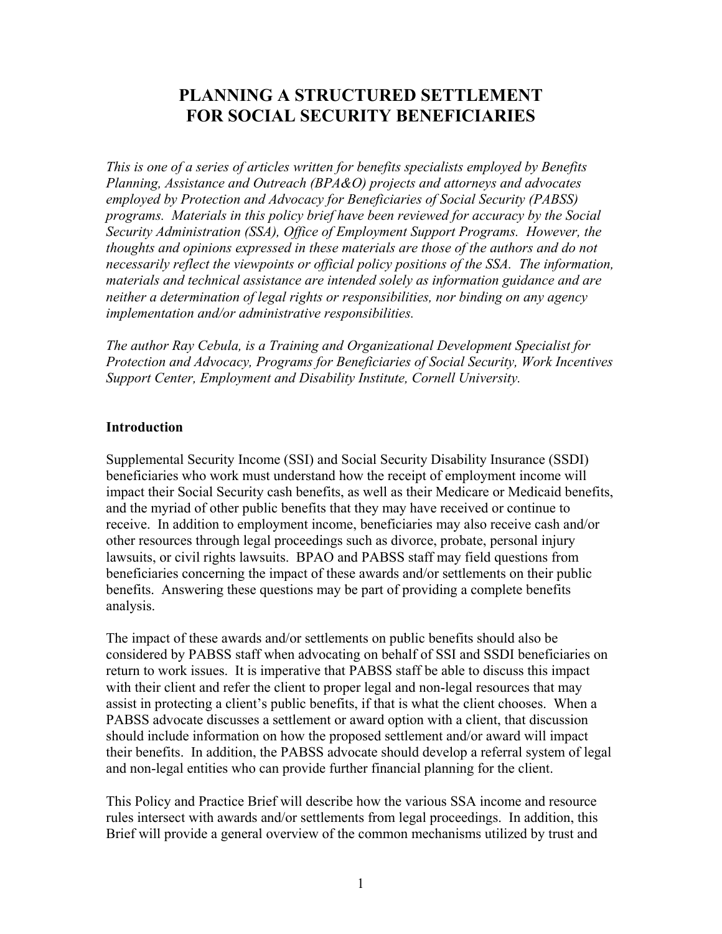# **PLANNING A STRUCTURED SETTLEMENT FOR SOCIAL SECURITY BENEFICIARIES**

*This is one of a series of articles written for benefits specialists employed by Benefits Planning, Assistance and Outreach (BPA&O) projects and attorneys and advocates employed by Protection and Advocacy for Beneficiaries of Social Security (PABSS) programs. Materials in this policy brief have been reviewed for accuracy by the Social Security Administration (SSA), Office of Employment Support Programs. However, the thoughts and opinions expressed in these materials are those of the authors and do not necessarily reflect the viewpoints or official policy positions of the SSA. The information, materials and technical assistance are intended solely as information guidance and are neither a determination of legal rights or responsibilities, nor binding on any agency implementation and/or administrative responsibilities.* 

*The author Ray Cebula, is a Training and Organizational Development Specialist for Protection and Advocacy, Programs for Beneficiaries of Social Security, Work Incentives Support Center, Employment and Disability Institute, Cornell University.*

#### **Introduction**

Supplemental Security Income (SSI) and Social Security Disability Insurance (SSDI) beneficiaries who work must understand how the receipt of employment income will impact their Social Security cash benefits, as well as their Medicare or Medicaid benefits, and the myriad of other public benefits that they may have received or continue to receive. In addition to employment income, beneficiaries may also receive cash and/or other resources through legal proceedings such as divorce, probate, personal injury lawsuits, or civil rights lawsuits. BPAO and PABSS staff may field questions from beneficiaries concerning the impact of these awards and/or settlements on their public benefits. Answering these questions may be part of providing a complete benefits analysis.

The impact of these awards and/or settlements on public benefits should also be considered by PABSS staff when advocating on behalf of SSI and SSDI beneficiaries on return to work issues. It is imperative that PABSS staff be able to discuss this impact with their client and refer the client to proper legal and non-legal resources that may assist in protecting a client's public benefits, if that is what the client chooses. When a PABSS advocate discusses a settlement or award option with a client, that discussion should include information on how the proposed settlement and/or award will impact their benefits. In addition, the PABSS advocate should develop a referral system of legal and non-legal entities who can provide further financial planning for the client.

This Policy and Practice Brief will describe how the various SSA income and resource rules intersect with awards and/or settlements from legal proceedings. In addition, this Brief will provide a general overview of the common mechanisms utilized by trust and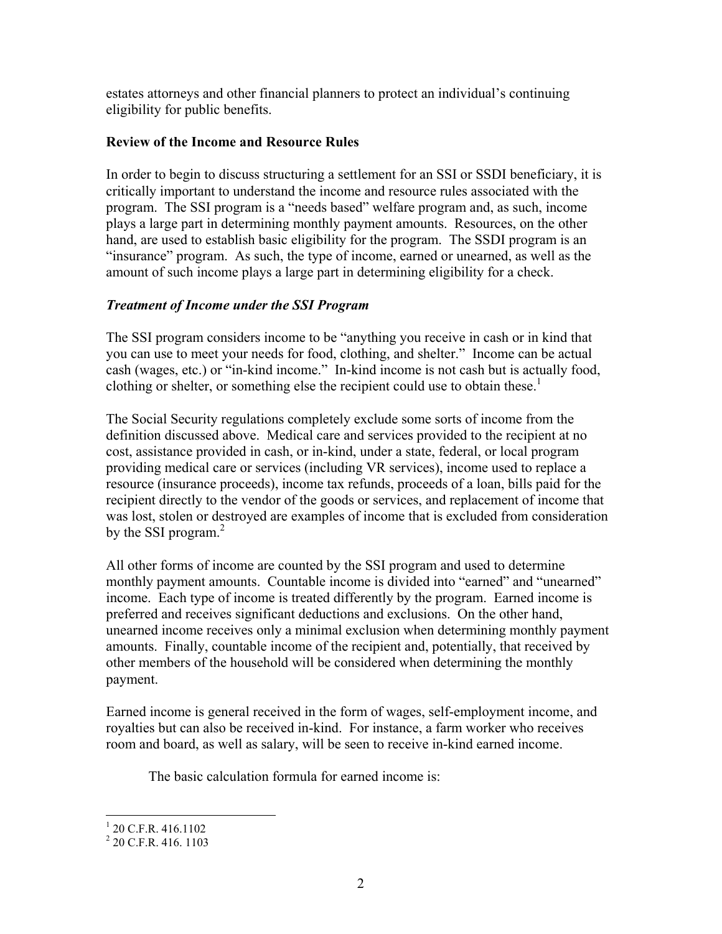estates attorneys and other financial planners to protect an individual's continuing eligibility for public benefits.

### **Review of the Income and Resource Rules**

In order to begin to discuss structuring a settlement for an SSI or SSDI beneficiary, it is critically important to understand the income and resource rules associated with the program. The SSI program is a "needs based" welfare program and, as such, income plays a large part in determining monthly payment amounts. Resources, on the other hand, are used to establish basic eligibility for the program. The SSDI program is an "insurance" program. As such, the type of income, earned or unearned, as well as the amount of such income plays a large part in determining eligibility for a check.

### *Treatment of Income under the SSI Program*

The SSI program considers income to be "anything you receive in cash or in kind that you can use to meet your needs for food, clothing, and shelter." Income can be actual cash (wages, etc.) or "in-kind income." In-kind income is not cash but is actually food, clothing or shelter, or something else the recipient could use to obtain these.<sup>1</sup>

The Social Security regulations completely exclude some sorts of income from the definition discussed above. Medical care and services provided to the recipient at no cost, assistance provided in cash, or in-kind, under a state, federal, or local program providing medical care or services (including VR services), income used to replace a resource (insurance proceeds), income tax refunds, proceeds of a loan, bills paid for the recipient directly to the vendor of the goods or services, and replacement of income that was lost, stolen or destroyed are examples of income that is excluded from consideration by the SSI program.<sup>2</sup>

All other forms of income are counted by the SSI program and used to determine monthly payment amounts. Countable income is divided into "earned" and "unearned" income. Each type of income is treated differently by the program. Earned income is preferred and receives significant deductions and exclusions. On the other hand, unearned income receives only a minimal exclusion when determining monthly payment amounts. Finally, countable income of the recipient and, potentially, that received by other members of the household will be considered when determining the monthly payment.

Earned income is general received in the form of wages, self-employment income, and royalties but can also be received in-kind. For instance, a farm worker who receives room and board, as well as salary, will be seen to receive in-kind earned income.

The basic calculation formula for earned income is:

 1 20 C.F.R. 416.1102

<sup>&</sup>lt;sup>2</sup> 20 C.F.R. 416. 1103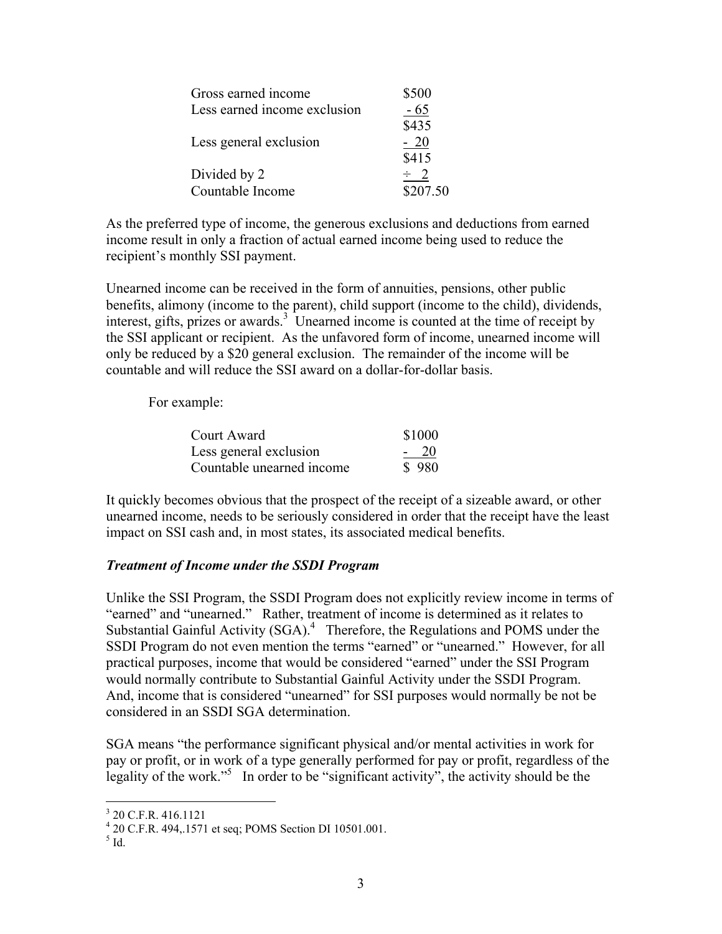| Gross earned income          | \$500    |
|------------------------------|----------|
| Less earned income exclusion | $-65$    |
|                              | \$435    |
| Less general exclusion       | $-20$    |
|                              | \$415    |
| Divided by 2                 |          |
| Countable Income             | \$207.50 |

As the preferred type of income, the generous exclusions and deductions from earned income result in only a fraction of actual earned income being used to reduce the recipient's monthly SSI payment.

Unearned income can be received in the form of annuities, pensions, other public benefits, alimony (income to the parent), child support (income to the child), dividends, interest, gifts, prizes or awards.<sup>3</sup> Unearned income is counted at the time of receipt by the SSI applicant or recipient. As the unfavored form of income, unearned income will only be reduced by a \$20 general exclusion. The remainder of the income will be countable and will reduce the SSI award on a dollar-for-dollar basis.

For example:

| Court Award               | \$1000 |
|---------------------------|--------|
| Less general exclusion    | $-20$  |
| Countable unearned income | \$980  |

It quickly becomes obvious that the prospect of the receipt of a sizeable award, or other unearned income, needs to be seriously considered in order that the receipt have the least impact on SSI cash and, in most states, its associated medical benefits.

### *Treatment of Income under the SSDI Program*

Unlike the SSI Program, the SSDI Program does not explicitly review income in terms of "earned" and "unearned." Rather, treatment of income is determined as it relates to Substantial Gainful Activity  $(SGA)^4$  Therefore, the Regulations and POMS under the SSDI Program do not even mention the terms "earned" or "unearned." However, for all practical purposes, income that would be considered "earned" under the SSI Program would normally contribute to Substantial Gainful Activity under the SSDI Program. And, income that is considered "unearned" for SSI purposes would normally be not be considered in an SSDI SGA determination.

SGA means "the performance significant physical and/or mental activities in work for pay or profit, or in work of a type generally performed for pay or profit, regardless of the legality of the work."<sup>5</sup> In order to be "significant activity", the activity should be the

 3 20 C.F.R. 416.1121

<sup>4</sup> 20 C.F.R. 494,.1571 et seq; POMS Section DI 10501.001.

 $<sup>5</sup>$  Id.</sup>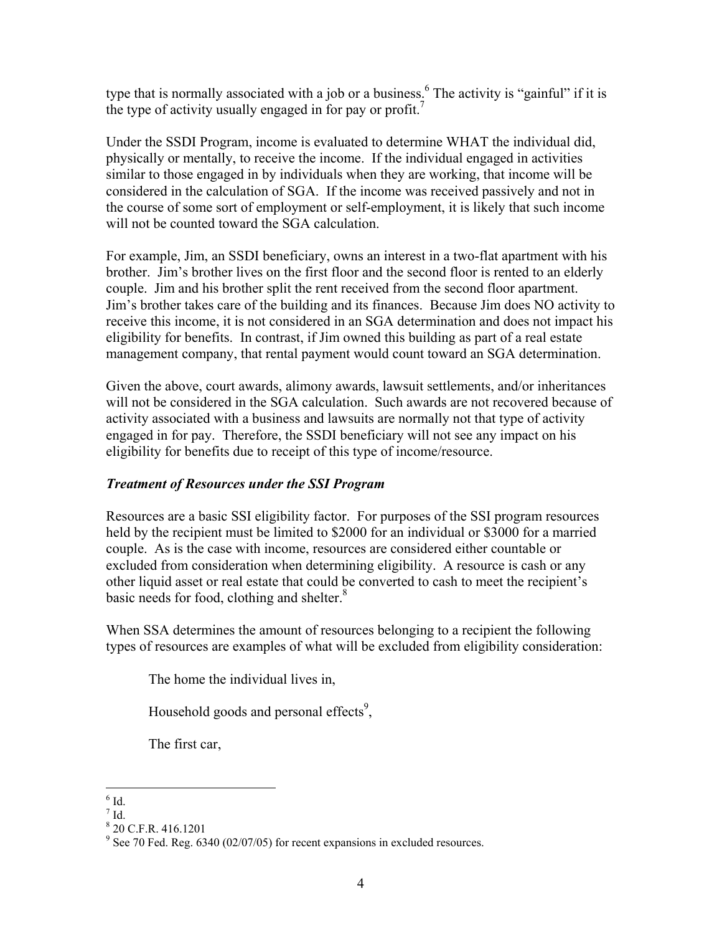type that is normally associated with a job or a business.<sup>6</sup> The activity is "gainful" if it is the type of activity usually engaged in for pay or profit.<sup>7</sup>

Under the SSDI Program, income is evaluated to determine WHAT the individual did, physically or mentally, to receive the income. If the individual engaged in activities similar to those engaged in by individuals when they are working, that income will be considered in the calculation of SGA. If the income was received passively and not in the course of some sort of employment or self-employment, it is likely that such income will not be counted toward the SGA calculation.

For example, Jim, an SSDI beneficiary, owns an interest in a two-flat apartment with his brother. Jim's brother lives on the first floor and the second floor is rented to an elderly couple. Jim and his brother split the rent received from the second floor apartment. Jim's brother takes care of the building and its finances. Because Jim does NO activity to receive this income, it is not considered in an SGA determination and does not impact his eligibility for benefits. In contrast, if Jim owned this building as part of a real estate management company, that rental payment would count toward an SGA determination.

Given the above, court awards, alimony awards, lawsuit settlements, and/or inheritances will not be considered in the SGA calculation. Such awards are not recovered because of activity associated with a business and lawsuits are normally not that type of activity engaged in for pay. Therefore, the SSDI beneficiary will not see any impact on his eligibility for benefits due to receipt of this type of income/resource.

### *Treatment of Resources under the SSI Program*

Resources are a basic SSI eligibility factor. For purposes of the SSI program resources held by the recipient must be limited to \$2000 for an individual or \$3000 for a married couple. As is the case with income, resources are considered either countable or excluded from consideration when determining eligibility. A resource is cash or any other liquid asset or real estate that could be converted to cash to meet the recipient's basic needs for food, clothing and shelter.<sup>8</sup>

When SSA determines the amount of resources belonging to a recipient the following types of resources are examples of what will be excluded from eligibility consideration:

The home the individual lives in,

Household goods and personal effects<sup>9</sup>,

The first car,

 $6$  Id.

 $^7$  Id.

<sup>8</sup> 20 C.F.R. 416.1201

 $9^9$  See 70 Fed. Reg. 6340 (02/07/05) for recent expansions in excluded resources.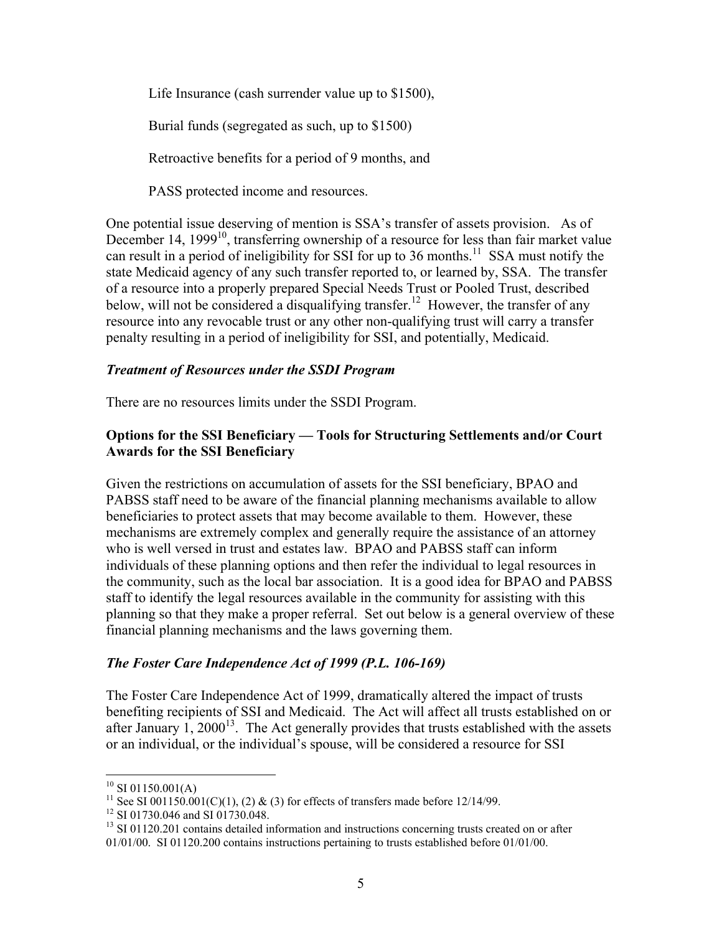Life Insurance (cash surrender value up to \$1500),

Burial funds (segregated as such, up to \$1500)

Retroactive benefits for a period of 9 months, and

PASS protected income and resources.

One potential issue deserving of mention is SSA's transfer of assets provision. As of December 14,  $1999<sup>10</sup>$ , transferring ownership of a resource for less than fair market value can result in a period of ineligibility for SSI for up to 36 months.<sup>11</sup> SSA must notify the state Medicaid agency of any such transfer reported to, or learned by, SSA. The transfer of a resource into a properly prepared Special Needs Trust or Pooled Trust, described below, will not be considered a disqualifying transfer.<sup>12</sup> However, the transfer of any resource into any revocable trust or any other non-qualifying trust will carry a transfer penalty resulting in a period of ineligibility for SSI, and potentially, Medicaid.

#### *Treatment of Resources under the SSDI Program*

There are no resources limits under the SSDI Program.

### **Options for the SSI Beneficiary — Tools for Structuring Settlements and/or Court Awards for the SSI Beneficiary**

Given the restrictions on accumulation of assets for the SSI beneficiary, BPAO and PABSS staff need to be aware of the financial planning mechanisms available to allow beneficiaries to protect assets that may become available to them. However, these mechanisms are extremely complex and generally require the assistance of an attorney who is well versed in trust and estates law. BPAO and PABSS staff can inform individuals of these planning options and then refer the individual to legal resources in the community, such as the local bar association. It is a good idea for BPAO and PABSS staff to identify the legal resources available in the community for assisting with this planning so that they make a proper referral. Set out below is a general overview of these financial planning mechanisms and the laws governing them.

### *The Foster Care Independence Act of 1999 (P.L. 106-169)*

The Foster Care Independence Act of 1999, dramatically altered the impact of trusts benefiting recipients of SSI and Medicaid. The Act will affect all trusts established on or after January  $1, 2000^{13}$ . The Act generally provides that trusts established with the assets or an individual, or the individual's spouse, will be considered a resource for SSI

 $10$  SI 01150.001(A)

<sup>&</sup>lt;sup>11</sup> See SI 001150.001(C)(1), (2) & (3) for effects of transfers made before 12/14/99.

<sup>&</sup>lt;sup>12</sup> SI 01730.046 and SI 01730.048.

<sup>&</sup>lt;sup>13</sup> SI 01120.201 contains detailed information and instructions concerning trusts created on or after 01/01/00. SI 01120.200 contains instructions pertaining to trusts established before 01/01/00.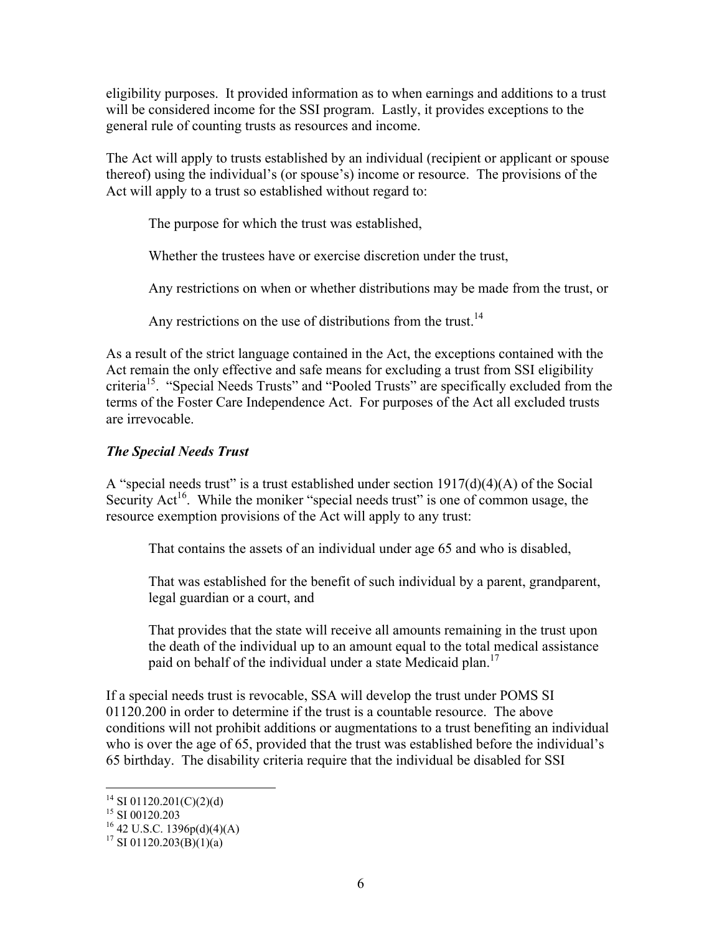eligibility purposes. It provided information as to when earnings and additions to a trust will be considered income for the SSI program. Lastly, it provides exceptions to the general rule of counting trusts as resources and income.

The Act will apply to trusts established by an individual (recipient or applicant or spouse thereof) using the individual's (or spouse's) income or resource. The provisions of the Act will apply to a trust so established without regard to:

The purpose for which the trust was established,

Whether the trustees have or exercise discretion under the trust,

Any restrictions on when or whether distributions may be made from the trust, or

Any restrictions on the use of distributions from the trust.<sup>14</sup>

As a result of the strict language contained in the Act, the exceptions contained with the Act remain the only effective and safe means for excluding a trust from SSI eligibility criteria15. "Special Needs Trusts" and "Pooled Trusts" are specifically excluded from the terms of the Foster Care Independence Act. For purposes of the Act all excluded trusts are irrevocable.

### *The Special Needs Trust*

A "special needs trust" is a trust established under section  $1917(d)(4)(A)$  of the Social Security Act<sup>16</sup>. While the moniker "special needs trust" is one of common usage, the resource exemption provisions of the Act will apply to any trust:

That contains the assets of an individual under age 65 and who is disabled,

That was established for the benefit of such individual by a parent, grandparent, legal guardian or a court, and

That provides that the state will receive all amounts remaining in the trust upon the death of the individual up to an amount equal to the total medical assistance paid on behalf of the individual under a state Medicaid plan.<sup>17</sup>

If a special needs trust is revocable, SSA will develop the trust under POMS SI 01120.200 in order to determine if the trust is a countable resource. The above conditions will not prohibit additions or augmentations to a trust benefiting an individual who is over the age of 65, provided that the trust was established before the individual's 65 birthday. The disability criteria require that the individual be disabled for SSI

<sup>&</sup>lt;sup>14</sup> SI 01120.201(C)(2)(d)

 $15$  SI 00120.203

 $^{16}$  42 U.S.C. 1396p(d)(4)(A)

<sup>&</sup>lt;sup>17</sup> SI 01120.203(B)(1)(a)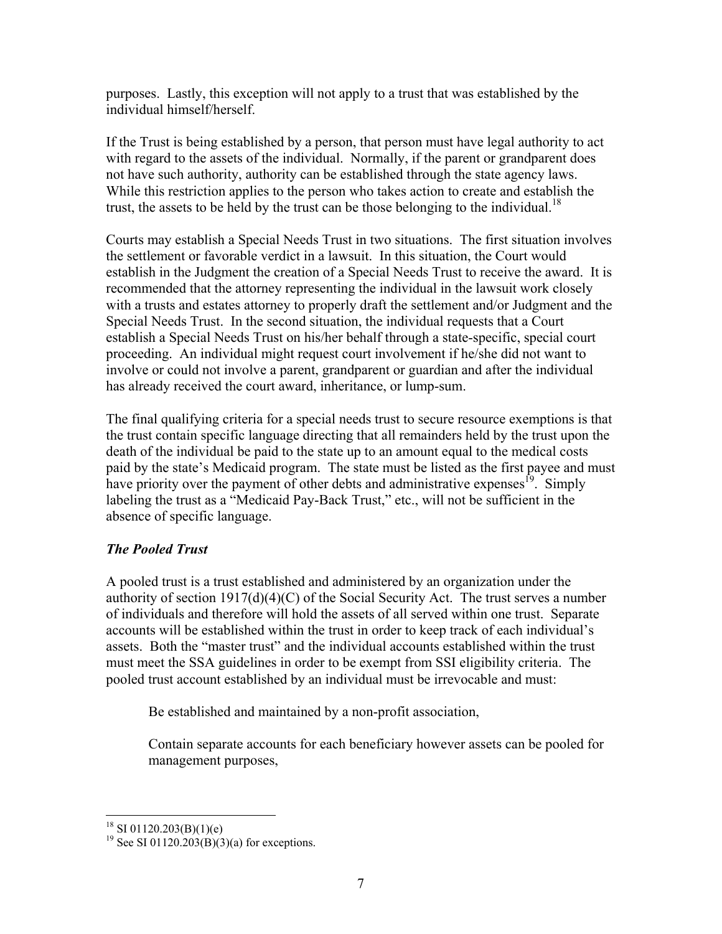purposes. Lastly, this exception will not apply to a trust that was established by the individual himself/herself.

If the Trust is being established by a person, that person must have legal authority to act with regard to the assets of the individual. Normally, if the parent or grandparent does not have such authority, authority can be established through the state agency laws. While this restriction applies to the person who takes action to create and establish the trust, the assets to be held by the trust can be those belonging to the individual.<sup>18</sup>

Courts may establish a Special Needs Trust in two situations. The first situation involves the settlement or favorable verdict in a lawsuit. In this situation, the Court would establish in the Judgment the creation of a Special Needs Trust to receive the award. It is recommended that the attorney representing the individual in the lawsuit work closely with a trusts and estates attorney to properly draft the settlement and/or Judgment and the Special Needs Trust. In the second situation, the individual requests that a Court establish a Special Needs Trust on his/her behalf through a state-specific, special court proceeding. An individual might request court involvement if he/she did not want to involve or could not involve a parent, grandparent or guardian and after the individual has already received the court award, inheritance, or lump-sum.

The final qualifying criteria for a special needs trust to secure resource exemptions is that the trust contain specific language directing that all remainders held by the trust upon the death of the individual be paid to the state up to an amount equal to the medical costs paid by the state's Medicaid program. The state must be listed as the first payee and must have priority over the payment of other debts and administrative expenses<sup> $19$ </sup>. Simply labeling the trust as a "Medicaid Pay-Back Trust," etc., will not be sufficient in the absence of specific language.

# *The Pooled Trust*

A pooled trust is a trust established and administered by an organization under the authority of section 1917(d)(4)(C) of the Social Security Act. The trust serves a number of individuals and therefore will hold the assets of all served within one trust. Separate accounts will be established within the trust in order to keep track of each individual's assets. Both the "master trust" and the individual accounts established within the trust must meet the SSA guidelines in order to be exempt from SSI eligibility criteria. The pooled trust account established by an individual must be irrevocable and must:

Be established and maintained by a non-profit association,

Contain separate accounts for each beneficiary however assets can be pooled for management purposes,

 $\overline{a}$  $18$  SI 01120.203(B)(1)(e)

<sup>&</sup>lt;sup>19</sup> See SI 01120.203(B)(3)(a) for exceptions.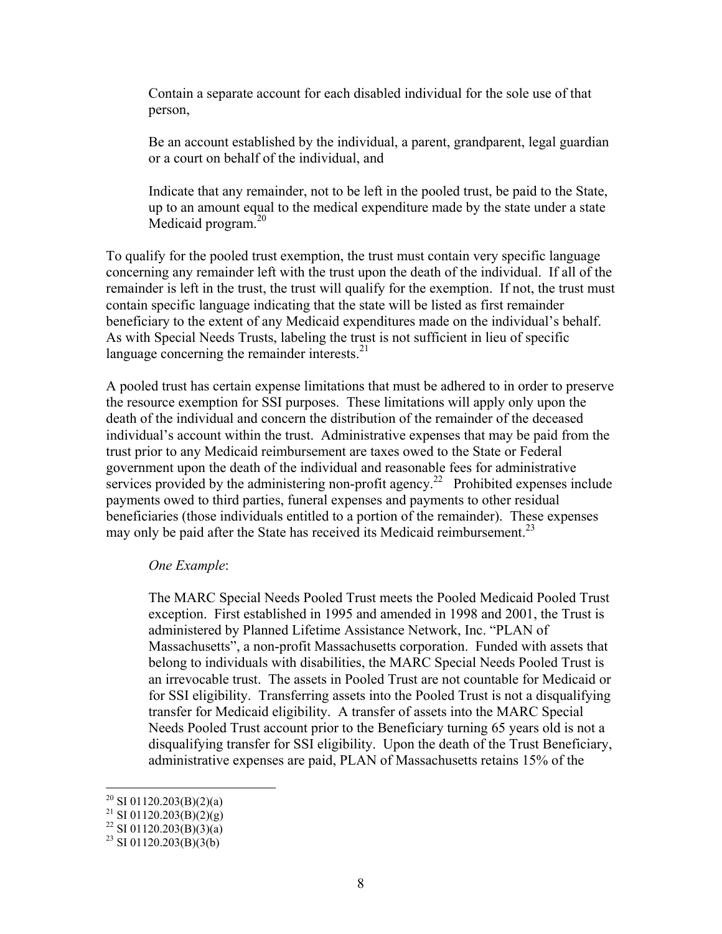Contain a separate account for each disabled individual for the sole use of that person,

Be an account established by the individual, a parent, grandparent, legal guardian or a court on behalf of the individual, and

Indicate that any remainder, not to be left in the pooled trust, be paid to the State, up to an amount equal to the medical expenditure made by the state under a state Medicaid program. $20$ 

To qualify for the pooled trust exemption, the trust must contain very specific language concerning any remainder left with the trust upon the death of the individual. If all of the remainder is left in the trust, the trust will qualify for the exemption. If not, the trust must contain specific language indicating that the state will be listed as first remainder beneficiary to the extent of any Medicaid expenditures made on the individual's behalf. As with Special Needs Trusts, labeling the trust is not sufficient in lieu of specific language concerning the remainder interests. $21$ 

A pooled trust has certain expense limitations that must be adhered to in order to preserve the resource exemption for SSI purposes. These limitations will apply only upon the death of the individual and concern the distribution of the remainder of the deceased individual's account within the trust. Administrative expenses that may be paid from the trust prior to any Medicaid reimbursement are taxes owed to the State or Federal government upon the death of the individual and reasonable fees for administrative services provided by the administering non-profit agency.<sup>22</sup> Prohibited expenses include payments owed to third parties, funeral expenses and payments to other residual beneficiaries (those individuals entitled to a portion of the remainder). These expenses may only be paid after the State has received its Medicaid reimbursement.<sup>23</sup>

#### *One Example*:

The MARC Special Needs Pooled Trust meets the Pooled Medicaid Pooled Trust exception. First established in 1995 and amended in 1998 and 2001, the Trust is administered by Planned Lifetime Assistance Network, Inc. "PLAN of Massachusetts", a non-profit Massachusetts corporation. Funded with assets that belong to individuals with disabilities, the MARC Special Needs Pooled Trust is an irrevocable trust. The assets in Pooled Trust are not countable for Medicaid or for SSI eligibility. Transferring assets into the Pooled Trust is not a disqualifying transfer for Medicaid eligibility. A transfer of assets into the MARC Special Needs Pooled Trust account prior to the Beneficiary turning 65 years old is not a disqualifying transfer for SSI eligibility. Upon the death of the Trust Beneficiary, administrative expenses are paid, PLAN of Massachusetts retains 15% of the

<sup>&</sup>lt;sup>20</sup> SI 01120.203(B)(2)(a)

 $^{21}$  SI 01120.203(B)(2)(g)

<sup>&</sup>lt;sup>22</sup> SI 01120.203(B)(3)(a)

<sup>&</sup>lt;sup>23</sup> SI 01120.203(B)(3(b)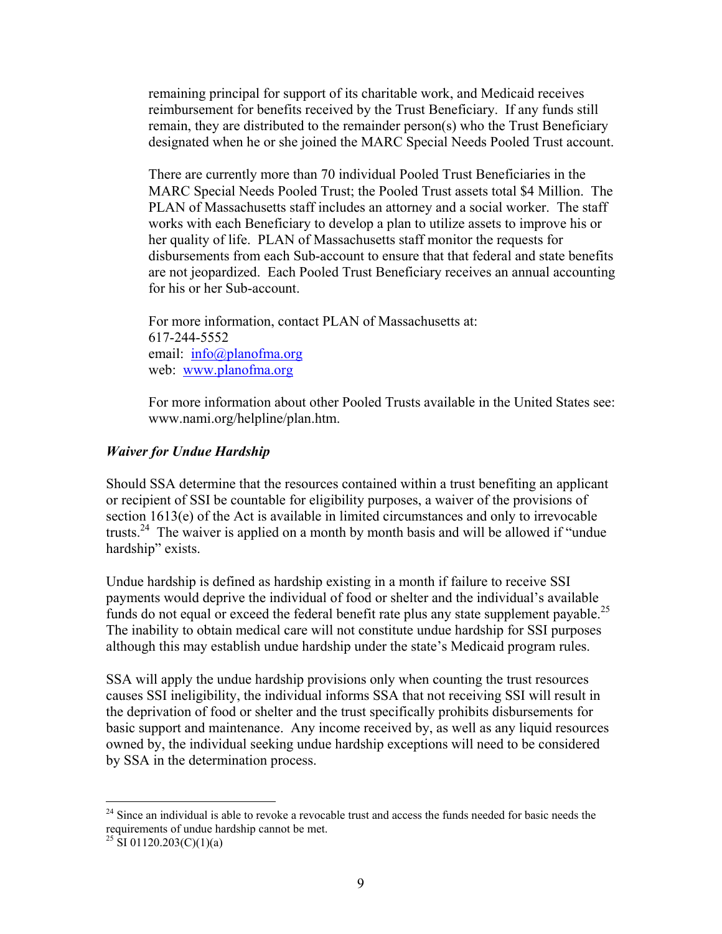remaining principal for support of its charitable work, and Medicaid receives reimbursement for benefits received by the Trust Beneficiary. If any funds still remain, they are distributed to the remainder person(s) who the Trust Beneficiary designated when he or she joined the MARC Special Needs Pooled Trust account.

There are currently more than 70 individual Pooled Trust Beneficiaries in the MARC Special Needs Pooled Trust; the Pooled Trust assets total \$4 Million. The PLAN of Massachusetts staff includes an attorney and a social worker. The staff works with each Beneficiary to develop a plan to utilize assets to improve his or her quality of life. PLAN of Massachusetts staff monitor the requests for disbursements from each Sub-account to ensure that that federal and state benefits are not jeopardized. Each Pooled Trust Beneficiary receives an annual accounting for his or her Sub-account.

For more information, contact PLAN of Massachusetts at: 617-244-5552 email: info@planofma.org web: www.planofma.org

For more information about other Pooled Trusts available in the United States see: www.nami.org/helpline/plan.htm.

#### *Waiver for Undue Hardship*

Should SSA determine that the resources contained within a trust benefiting an applicant or recipient of SSI be countable for eligibility purposes, a waiver of the provisions of section 1613(e) of the Act is available in limited circumstances and only to irrevocable trusts.<sup>24</sup> The waiver is applied on a month by month basis and will be allowed if "undue" hardship" exists.

Undue hardship is defined as hardship existing in a month if failure to receive SSI payments would deprive the individual of food or shelter and the individual's available funds do not equal or exceed the federal benefit rate plus any state supplement payable.<sup>25</sup> The inability to obtain medical care will not constitute undue hardship for SSI purposes although this may establish undue hardship under the state's Medicaid program rules.

SSA will apply the undue hardship provisions only when counting the trust resources causes SSI ineligibility, the individual informs SSA that not receiving SSI will result in the deprivation of food or shelter and the trust specifically prohibits disbursements for basic support and maintenance. Any income received by, as well as any liquid resources owned by, the individual seeking undue hardship exceptions will need to be considered by SSA in the determination process.

1

 $24$  Since an individual is able to revoke a revocable trust and access the funds needed for basic needs the requirements of undue hardship cannot be met.

<sup>&</sup>lt;sup>25</sup> SI 01120.203(C)(1)(a)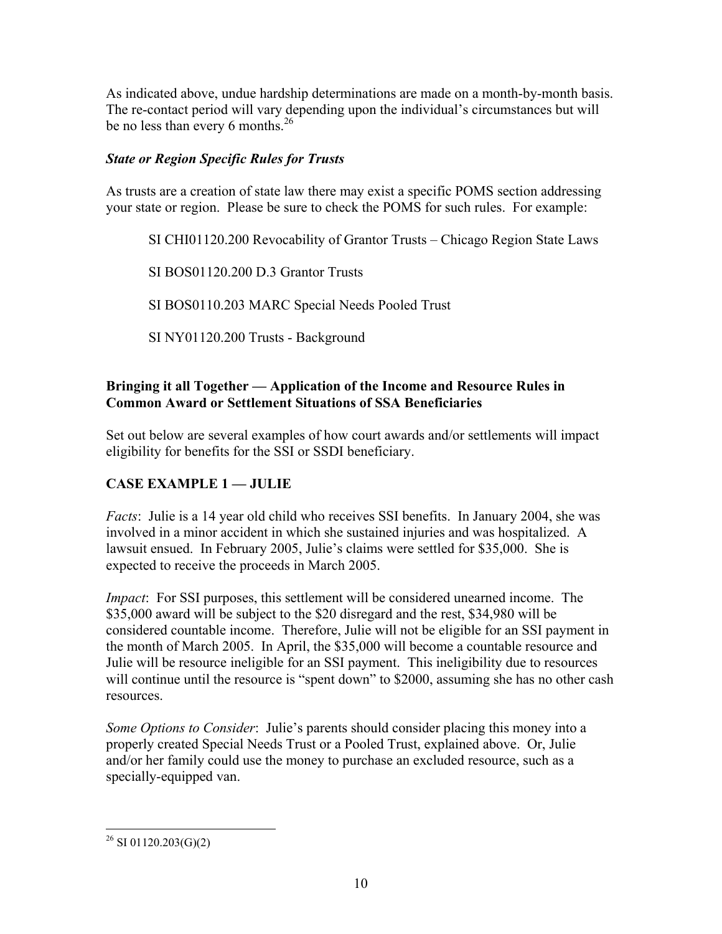As indicated above, undue hardship determinations are made on a month-by-month basis. The re-contact period will vary depending upon the individual's circumstances but will be no less than every 6 months.<sup>26</sup>

### *State or Region Specific Rules for Trusts*

As trusts are a creation of state law there may exist a specific POMS section addressing your state or region. Please be sure to check the POMS for such rules. For example:

SI CHI01120.200 Revocability of Grantor Trusts – Chicago Region State Laws

SI BOS01120.200 D.3 Grantor Trusts

SI BOS0110.203 MARC Special Needs Pooled Trust

SI NY01120.200 Trusts - Background

### **Bringing it all Together — Application of the Income and Resource Rules in Common Award or Settlement Situations of SSA Beneficiaries**

Set out below are several examples of how court awards and/or settlements will impact eligibility for benefits for the SSI or SSDI beneficiary.

# **CASE EXAMPLE 1 — JULIE**

*Facts*: Julie is a 14 year old child who receives SSI benefits. In January 2004, she was involved in a minor accident in which she sustained injuries and was hospitalized. A lawsuit ensued. In February 2005, Julie's claims were settled for \$35,000. She is expected to receive the proceeds in March 2005.

*Impact*: For SSI purposes, this settlement will be considered unearned income. The \$35,000 award will be subject to the \$20 disregard and the rest, \$34,980 will be considered countable income. Therefore, Julie will not be eligible for an SSI payment in the month of March 2005. In April, the \$35,000 will become a countable resource and Julie will be resource ineligible for an SSI payment. This ineligibility due to resources will continue until the resource is "spent down" to \$2000, assuming she has no other cash resources.

*Some Options to Consider*: Julie's parents should consider placing this money into a properly created Special Needs Trust or a Pooled Trust, explained above. Or, Julie and/or her family could use the money to purchase an excluded resource, such as a specially-equipped van.

 $^{26}$  SI 01120.203(G)(2)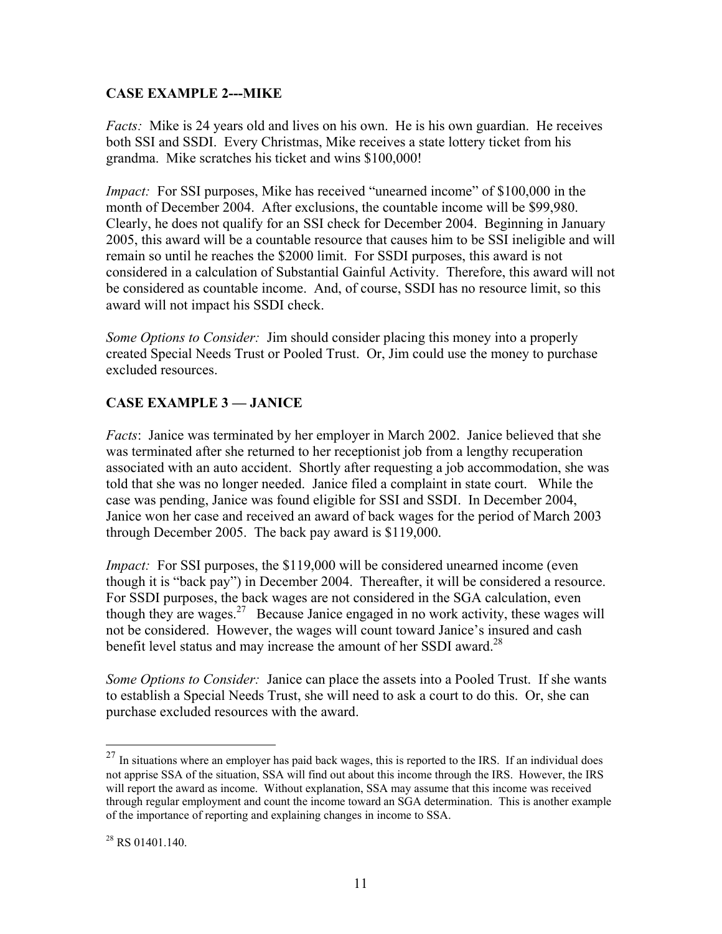### **CASE EXAMPLE 2---MIKE**

*Facts:* Mike is 24 years old and lives on his own. He is his own guardian. He receives both SSI and SSDI. Every Christmas, Mike receives a state lottery ticket from his grandma. Mike scratches his ticket and wins \$100,000!

*Impact:* For SSI purposes, Mike has received "unearned income" of \$100,000 in the month of December 2004. After exclusions, the countable income will be \$99,980. Clearly, he does not qualify for an SSI check for December 2004. Beginning in January 2005, this award will be a countable resource that causes him to be SSI ineligible and will remain so until he reaches the \$2000 limit. For SSDI purposes, this award is not considered in a calculation of Substantial Gainful Activity. Therefore, this award will not be considered as countable income. And, of course, SSDI has no resource limit, so this award will not impact his SSDI check.

*Some Options to Consider:* Jim should consider placing this money into a properly created Special Needs Trust or Pooled Trust. Or, Jim could use the money to purchase excluded resources.

# **CASE EXAMPLE 3 — JANICE**

*Facts*: Janice was terminated by her employer in March 2002. Janice believed that she was terminated after she returned to her receptionist job from a lengthy recuperation associated with an auto accident. Shortly after requesting a job accommodation, she was told that she was no longer needed. Janice filed a complaint in state court. While the case was pending, Janice was found eligible for SSI and SSDI. In December 2004, Janice won her case and received an award of back wages for the period of March 2003 through December 2005. The back pay award is \$119,000.

*Impact:* For SSI purposes, the \$119,000 will be considered unearned income (even though it is "back pay") in December 2004. Thereafter, it will be considered a resource. For SSDI purposes, the back wages are not considered in the SGA calculation, even though they are wages.<sup>27</sup> Because Janice engaged in no work activity, these wages will not be considered. However, the wages will count toward Janice's insured and cash benefit level status and may increase the amount of her SSDI award.<sup>28</sup>

*Some Options to Consider:* Janice can place the assets into a Pooled Trust. If she wants to establish a Special Needs Trust, she will need to ask a court to do this. Or, she can purchase excluded resources with the award.

 $27$  In situations where an employer has paid back wages, this is reported to the IRS. If an individual does not apprise SSA of the situation, SSA will find out about this income through the IRS. However, the IRS will report the award as income. Without explanation, SSA may assume that this income was received through regular employment and count the income toward an SGA determination. This is another example of the importance of reporting and explaining changes in income to SSA.

 $28$  RS 01401.140.